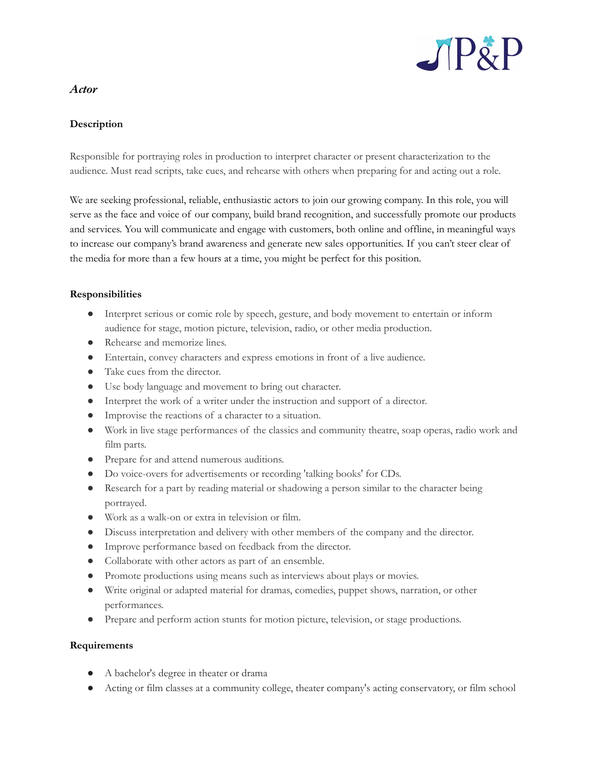

# *Actor*

## **Description**

Responsible for portraying roles in production to interpret character or present characterization to the audience. Must read scripts, take cues, and rehearse with others when preparing for and acting out a role.

We are seeking professional, reliable, enthusiastic actors to join our growing company. In this role, you will serve as the face and voice of our company, build brand recognition, and successfully promote our products and services. You will communicate and engage with customers, both online and offline, in meaningful ways to increase our company's brand awareness and generate new sales opportunities. If you can't steer clear of the media for more than a few hours at a time, you might be perfect for this position.

### **Responsibilities**

- Interpret serious or comic role by speech, gesture, and body movement to entertain or inform audience for stage, motion picture, television, radio, or other media production.
- Rehearse and memorize lines.
- Entertain, convey characters and express emotions in front of a live audience.
- Take cues from the director.
- Use body language and movement to bring out character.
- Interpret the work of a writer under the instruction and support of a director.
- Improvise the reactions of a character to a situation.
- Work in live stage performances of the classics and community theatre, soap operas, radio work and film parts.
- Prepare for and attend numerous auditions.
- Do voice-overs for advertisements or recording 'talking books' for CDs.
- Research for a part by reading material or shadowing a person similar to the character being portrayed.
- Work as a walk-on or extra in television or film.
- Discuss interpretation and delivery with other members of the company and the director.
- Improve performance based on feedback from the director.
- Collaborate with other actors as part of an ensemble.
- Promote productions using means such as interviews about plays or movies.
- Write original or adapted material for dramas, comedies, puppet shows, narration, or other performances.
- Prepare and perform action stunts for motion picture, television, or stage productions.

### **Requirements**

- A bachelor's degree in theater or drama
- Acting or film classes at a community college, theater company's acting conservatory, or film school